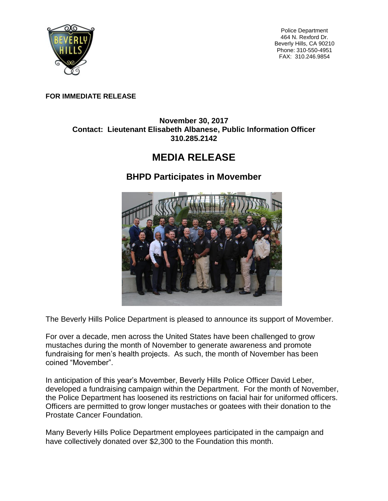

Police Department 464 N. Rexford Dr. Beverly Hills, CA 90210 Phone: 310-550-4951 FAX: 310.246.9854

## **FOR IMMEDIATE RELEASE**

## **November 30, 2017 Contact: Lieutenant Elisabeth Albanese, Public Information Officer 310.285.2142**

## **MEDIA RELEASE**

## **BHPD Participates in Movember**



The Beverly Hills Police Department is pleased to announce its support of Movember.

For over a decade, men across the United States have been challenged to grow mustaches during the month of November to generate awareness and promote fundraising for men's health projects. As such, the month of November has been coined "Movember".

In anticipation of this year's Movember, Beverly Hills Police Officer David Leber, developed a fundraising campaign within the Department. For the month of November, the Police Department has loosened its restrictions on facial hair for uniformed officers. Officers are permitted to grow longer mustaches or goatees with their donation to the Prostate Cancer Foundation.

Many Beverly Hills Police Department employees participated in the campaign and have collectively donated over \$2,300 to the Foundation this month.